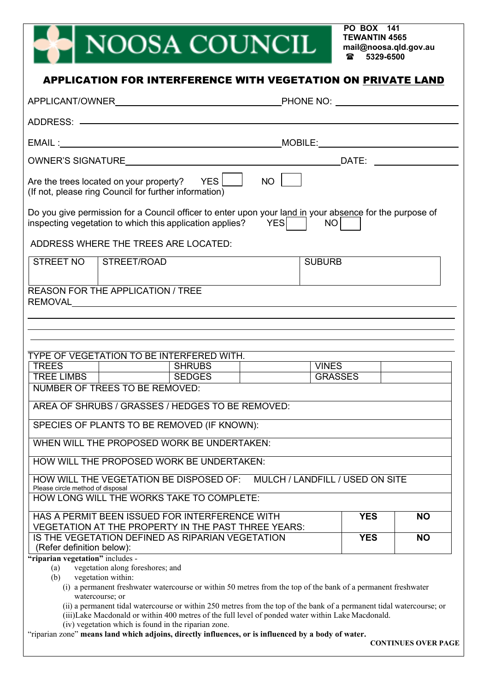## NOOSA COUNCIL

**PO BOX 141 TEWANTIN 4565 [mail@noosa.qld.gov.au](mailto:mail@noosa.qld.gov.au) 5329-6500**

|                                          |                                                                                                                                                                                                                                                                  |                                 | _MOBILE:______________________________ |            |           |
|------------------------------------------|------------------------------------------------------------------------------------------------------------------------------------------------------------------------------------------------------------------------------------------------------------------|---------------------------------|----------------------------------------|------------|-----------|
|                                          |                                                                                                                                                                                                                                                                  |                                 |                                        |            |           |
|                                          | Are the trees located on your property? $YES$<br>(If not, please ring Council for further information)                                                                                                                                                           | NO                              |                                        |            |           |
|                                          | Do you give permission for a Council officer to enter upon your land in your absence for the purpose of<br>inspecting vegetation to which this application applies? YES                                                                                          |                                 | NO                                     |            |           |
|                                          | ADDRESS WHERE THE TREES ARE LOCATED:                                                                                                                                                                                                                             |                                 |                                        |            |           |
| STREET NO   STREET/ROAD                  |                                                                                                                                                                                                                                                                  |                                 | <b>SUBURB</b>                          |            |           |
| <b>REASON FOR THE APPLICATION / TREE</b> |                                                                                                                                                                                                                                                                  |                                 |                                        |            |           |
|                                          |                                                                                                                                                                                                                                                                  |                                 |                                        |            |           |
|                                          |                                                                                                                                                                                                                                                                  |                                 |                                        |            |           |
|                                          |                                                                                                                                                                                                                                                                  |                                 |                                        |            |           |
|                                          | TYPE OF VEGETATION TO BE INTERFERED WITH.<br><b>SHRUBS</b>                                                                                                                                                                                                       |                                 | <b>VINES</b>                           |            |           |
| TREES<br>TREE LIMBS                      | <b>SEDGES</b>                                                                                                                                                                                                                                                    |                                 | GRASSES                                |            |           |
| NUMBER OF TREES TO BE REMOVED:           |                                                                                                                                                                                                                                                                  |                                 |                                        |            |           |
|                                          | AREA OF SHRUBS / GRASSES / HEDGES TO BE REMOVED:                                                                                                                                                                                                                 |                                 |                                        |            |           |
|                                          | SPECIES OF PLANTS TO BE REMOVED (IF KNOWN):                                                                                                                                                                                                                      |                                 |                                        |            |           |
|                                          | WHEN WILL THE PROPOSED WORK BE UNDERTAKEN:                                                                                                                                                                                                                       |                                 |                                        |            |           |
|                                          | HOW WILL THE PROPOSED WORK BE UNDERTAKEN:                                                                                                                                                                                                                        |                                 |                                        |            |           |
|                                          | HOW WILL THE VEGETATION BE DISPOSED OF:                                                                                                                                                                                                                          | MULCH / LANDFILL / USED ON SITE |                                        |            |           |
| Please circle method of disposal         | HOW LONG WILL THE WORKS TAKE TO COMPLETE:                                                                                                                                                                                                                        |                                 |                                        |            |           |
|                                          |                                                                                                                                                                                                                                                                  |                                 |                                        |            |           |
|                                          | HAS A PERMIT BEEN ISSUED FOR INTERFERENCE WITH                                                                                                                                                                                                                   |                                 |                                        | <b>YES</b> | <b>NO</b> |
|                                          |                                                                                                                                                                                                                                                                  |                                 |                                        | <b>YES</b> | <b>NO</b> |
|                                          | <b>VEGETATION AT THE PROPERTY IN THE PAST THREE YEARS:</b><br>IS THE VEGETATION DEFINED AS RIPARIAN VEGETATION                                                                                                                                                   |                                 |                                        |            |           |
| (Refer definition below):                |                                                                                                                                                                                                                                                                  |                                 |                                        |            |           |
| (a)                                      | vegetation along foreshores; and                                                                                                                                                                                                                                 |                                 |                                        |            |           |
| vegetation within:<br>(b)                | (i) a permanent freshwater watercourse or within 50 metres from the top of the bank of a permanent freshwater                                                                                                                                                    |                                 |                                        |            |           |
| watercourse; or                          |                                                                                                                                                                                                                                                                  |                                 |                                        |            |           |
|                                          | (ii) a permanent tidal watercourse or within 250 metres from the top of the bank of a permanent tidal watercourse; or                                                                                                                                            |                                 |                                        |            |           |
| "riparian vegetation" includes -         | (iii)Lake Macdonald or within 400 metres of the full level of ponded water within Lake Macdonald.<br>(iv) vegetation which is found in the riparian zone.<br>"riparian zone" means land which adjoins, directly influences, or is influenced by a body of water. |                                 |                                        |            |           |